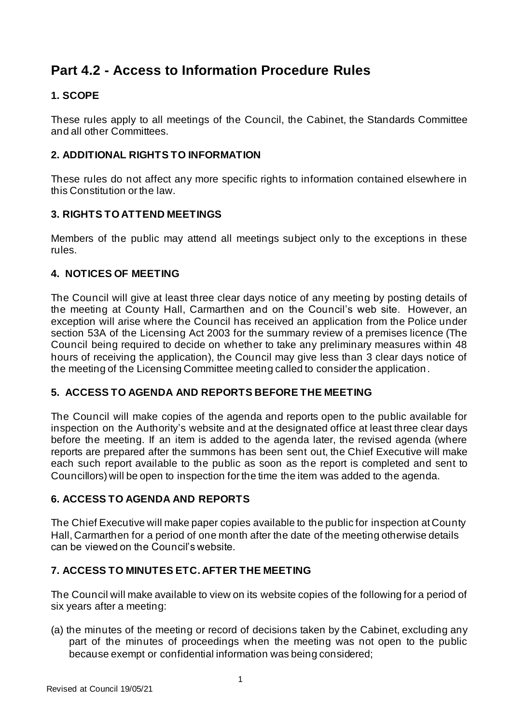# **Part 4.2 - Access to Information Procedure Rules**

# **1. SCOPE**

These rules apply to all meetings of the Council, the Cabinet, the Standards Committee and all other Committees.

# **2. ADDITIONAL RIGHTS TO INFORMATION**

These rules do not affect any more specific rights to information contained elsewhere in this Constitution or the law.

# **3. RIGHTS TO ATTEND MEETINGS**

Members of the public may attend all meetings subject only to the exceptions in these rules.

# **4. NOTICES OF MEETING**

The Council will give at least three clear days notice of any meeting by posting details of the meeting at County Hall, Carmarthen and on the Council's web site. However, an exception will arise where the Council has received an application from the Police under section 53A of the Licensing Act 2003 for the summary review of a premises licence (The Council being required to decide on whether to take any preliminary measures within 48 hours of receiving the application), the Council may give less than 3 clear days notice of the meeting of the Licensing Committee meeting called to consider the application .

# **5. ACCESS TO AGENDA AND REPORTS BEFORE THE MEETING**

The Council will make copies of the agenda and reports open to the public available for inspection on the Authority's website and at the designated office at least three clear days before the meeting. If an item is added to the agenda later, the revised agenda (where reports are prepared after the summons has been sent out, the Chief Executive will make each such report available to the public as soon as the report is completed and sent to Councillors) will be open to inspection for the time the item was added to the agenda.

# **6. ACCESS TO AGENDA AND REPORTS**

The Chief Executive will make paper copies available to the public for inspection at County Hall, Carmarthen for a period of one month after the date of the meeting otherwise details can be viewed on the Council's website.

# **7. ACCESS TO MINUTES ETC. AFTER THE MEETING**

The Council will make available to view on its website copies of the following for a period of six years after a meeting:

(a) the minutes of the meeting or record of decisions taken by the Cabinet, excluding any part of the minutes of proceedings when the meeting was not open to the public because exempt or confidential information was being considered;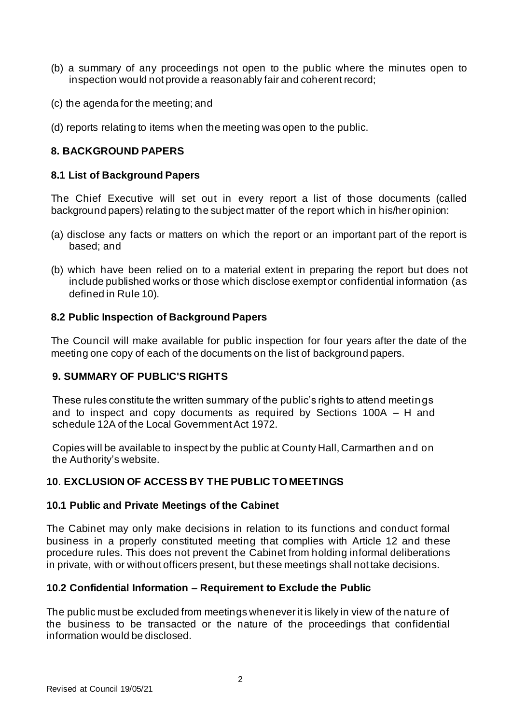- (b) a summary of any proceedings not open to the public where the minutes open to inspection would not provide a reasonably fair and coherent record;
- (c) the agenda for the meeting; and
- (d) reports relating to items when the meeting was open to the public.

### **8. BACKGROUND PAPERS**

#### **8.1 List of Background Papers**

The Chief Executive will set out in every report a list of those documents (called background papers) relating to the subject matter of the report which in his/her opinion:

- (a) disclose any facts or matters on which the report or an important part of the report is based; and
- (b) which have been relied on to a material extent in preparing the report but does not include published works or those which disclose exempt or confidential information (as defined in Rule 10).

#### **8.2 Public Inspection of Background Papers**

The Council will make available for public inspection for four years after the date of the meeting one copy of each of the documents on the list of background papers.

### **9. SUMMARY OF PUBLIC'S RIGHTS**

These rules constitute the written summary of the public's rights to attend meetings and to inspect and copy documents as required by Sections 100A – H and schedule 12A of the Local Government Act 1972.

Copies will be available to inspect by the public at County Hall, Carmarthen and on the Authority's website.

### **10**. **EXCLUSION OF ACCESS BY THE PUBLIC TO MEETINGS**

#### **10.1 Public and Private Meetings of the Cabinet**

The Cabinet may only make decisions in relation to its functions and conduct formal business in a properly constituted meeting that complies with Article 12 and these procedure rules. This does not prevent the Cabinet from holding informal deliberations in private, with or without officers present, but these meetings shall not take decisions.

### **10.2 Confidential Information – Requirement to Exclude the Public**

The public must be excluded from meetings whenever it is likely in view of the nature of the business to be transacted or the nature of the proceedings that confidential information would be disclosed.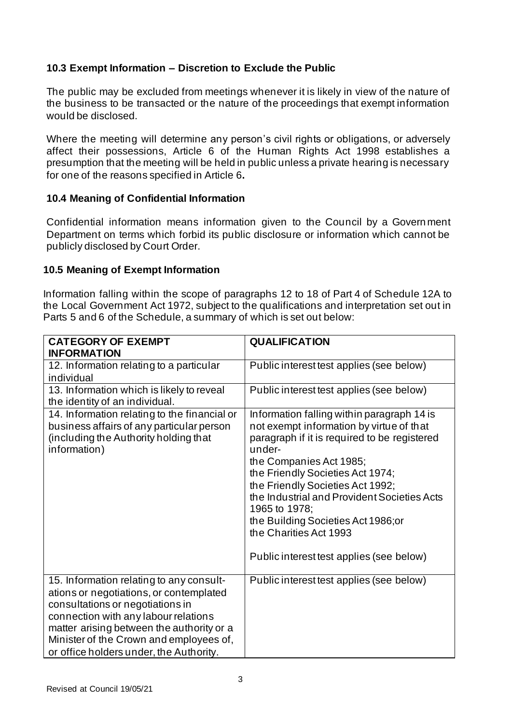# **10.3 Exempt Information – Discretion to Exclude the Public**

The public may be excluded from meetings whenever it is likely in view of the nature of the business to be transacted or the nature of the proceedings that exempt information would be disclosed.

Where the meeting will determine any person's civil rights or obligations, or adversely affect their possessions, Article 6 of the Human Rights Act 1998 establishes a presumption that the meeting will be held in public unless a private hearing is necessary for one of the reasons specified in Article 6**.**

# **10.4 Meaning of Confidential Information**

Confidential information means information given to the Council by a Govern ment Department on terms which forbid its public disclosure or information which cannot be publicly disclosed by Court Order.

# **10.5 Meaning of Exempt Information**

Information falling within the scope of paragraphs 12 to 18 of Part 4 of Schedule 12A to the Local Government Act 1972, subject to the qualifications and interpretation set out in Parts 5 and 6 of the Schedule, a summary of which is set out below:

| <b>CATEGORY OF EXEMPT</b><br><b>INFORMATION</b>                                                                                                                                                                                                                                                    | <b>QUALIFICATION</b>                                                                                                                                                                                                                                                                                                                                                                                                            |
|----------------------------------------------------------------------------------------------------------------------------------------------------------------------------------------------------------------------------------------------------------------------------------------------------|---------------------------------------------------------------------------------------------------------------------------------------------------------------------------------------------------------------------------------------------------------------------------------------------------------------------------------------------------------------------------------------------------------------------------------|
| 12. Information relating to a particular<br>individual                                                                                                                                                                                                                                             | Public interest test applies (see below)                                                                                                                                                                                                                                                                                                                                                                                        |
| 13. Information which is likely to reveal<br>the identity of an individual.                                                                                                                                                                                                                        | Public interest test applies (see below)                                                                                                                                                                                                                                                                                                                                                                                        |
| 14. Information relating to the financial or<br>business affairs of any particular person<br>(including the Authority holding that<br>information)                                                                                                                                                 | Information falling within paragraph 14 is<br>not exempt information by virtue of that<br>paragraph if it is required to be registered<br>under-<br>the Companies Act 1985;<br>the Friendly Societies Act 1974;<br>the Friendly Societies Act 1992;<br>the Industrial and Provident Societies Acts<br>1965 to 1978;<br>the Building Societies Act 1986;or<br>the Charities Act 1993<br>Public interest test applies (see below) |
| 15. Information relating to any consult-<br>ations or negotiations, or contemplated<br>consultations or negotiations in<br>connection with any labour relations<br>matter arising between the authority or a<br>Minister of the Crown and employees of,<br>or office holders under, the Authority. | Public interest test applies (see below)                                                                                                                                                                                                                                                                                                                                                                                        |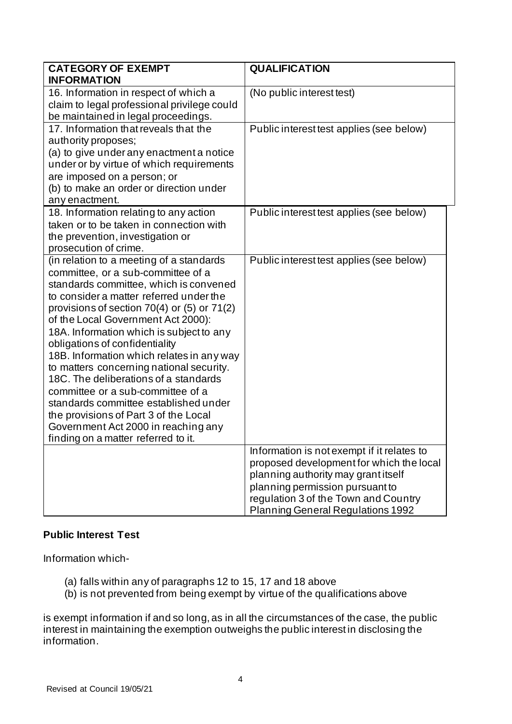| <b>CATEGORY OF EXEMPT</b><br><b>INFORMATION</b>                                                                                                                                                                                                                                                                                                                                                                                                                                                                                                                                                                                                                               | <b>QUALIFICATION</b>                                                                                                                                                                                                                                 |
|-------------------------------------------------------------------------------------------------------------------------------------------------------------------------------------------------------------------------------------------------------------------------------------------------------------------------------------------------------------------------------------------------------------------------------------------------------------------------------------------------------------------------------------------------------------------------------------------------------------------------------------------------------------------------------|------------------------------------------------------------------------------------------------------------------------------------------------------------------------------------------------------------------------------------------------------|
| 16. Information in respect of which a<br>claim to legal professional privilege could<br>be maintained in legal proceedings.                                                                                                                                                                                                                                                                                                                                                                                                                                                                                                                                                   | (No public interest test)                                                                                                                                                                                                                            |
| 17. Information that reveals that the<br>authority proposes;<br>(a) to give under any enactment a notice<br>under or by virtue of which requirements<br>are imposed on a person; or<br>(b) to make an order or direction under<br>any enactment.                                                                                                                                                                                                                                                                                                                                                                                                                              | Public interest test applies (see below)                                                                                                                                                                                                             |
| 18. Information relating to any action<br>taken or to be taken in connection with<br>the prevention, investigation or<br>prosecution of crime.                                                                                                                                                                                                                                                                                                                                                                                                                                                                                                                                | Public interest test applies (see below)                                                                                                                                                                                                             |
| (in relation to a meeting of a standards<br>committee, or a sub-committee of a<br>standards committee, which is convened<br>to consider a matter referred under the<br>provisions of section 70(4) or (5) or 71(2)<br>of the Local Government Act 2000):<br>18A. Information which is subject to any<br>obligations of confidentiality<br>18B. Information which relates in any way<br>to matters concerning national security.<br>18C. The deliberations of a standards<br>committee or a sub-committee of a<br>standards committee established under<br>the provisions of Part 3 of the Local<br>Government Act 2000 in reaching any<br>finding on a matter referred to it. | Public interest test applies (see below)                                                                                                                                                                                                             |
|                                                                                                                                                                                                                                                                                                                                                                                                                                                                                                                                                                                                                                                                               | Information is not exempt if it relates to<br>proposed development for which the local<br>planning authority may grant itself<br>planning permission pursuant to<br>regulation 3 of the Town and Country<br><b>Planning General Regulations 1992</b> |

# **Public Interest Test**

Information which-

- (a) falls within any of paragraphs 12 to 15, 17 and 18 above
- (b) is not prevented from being exempt by virtue of the qualifications above

is exempt information if and so long, as in all the circumstances of the case, the public interest in maintaining the exemption outweighs the public interest in disclosing the information.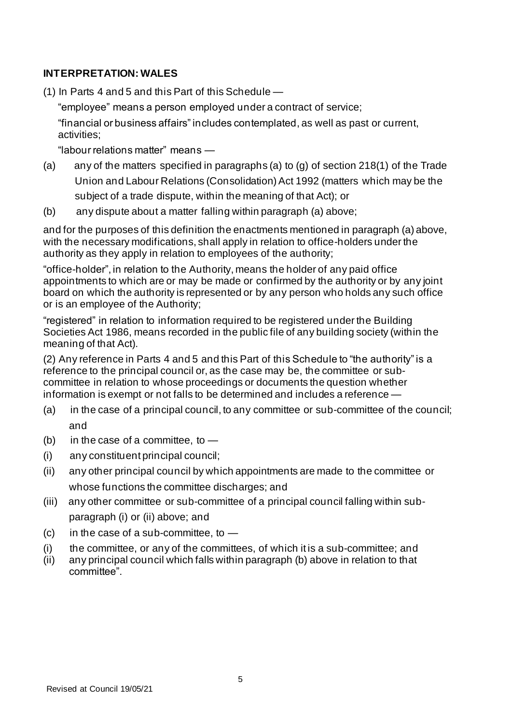# **INTERPRETATION: WALES**

(1) In Parts 4 and 5 and this Part of this Schedule —

"employee" means a person employed under a contract of service;

"financial or business affairs" includes contemplated, as well as past or current, activities;

"labour relations matter" means —

- (a) any of the matters specified in paragraphs (a) to (g) of section 218(1) of the Trade Union and Labour Relations (Consolidation) Act 1992 (matters which may be the subject of a trade dispute, within the meaning of that Act); or
- (b) any dispute about a matter falling within paragraph (a) above;

and for the purposes of this definition the enactments mentioned in paragraph (a) above, with the necessary modifications, shall apply in relation to office-holders under the authority as they apply in relation to employees of the authority;

"office-holder", in relation to the Authority, means the holder of any paid office appointments to which are or may be made or confirmed by the authority or by any joint board on which the authority is represented or by any person who holds any such office or is an employee of the Authority;

"registered" in relation to information required to be registered under the Building Societies Act 1986, means recorded in the public file of any building society (within the meaning of that Act).

(2) Any reference in Parts 4 and 5 and this Part of this Schedule to "the authority" is a reference to the principal council or, as the case may be, the committee or subcommittee in relation to whose proceedings or documents the question whether information is exempt or not falls to be determined and includes a reference —

- (a) in the case of a principal council, to any committee or sub-committee of the council; and
- (b) in the case of a committee, to  $-$
- (i) any constituent principal council;
- (ii) any other principal council by which appointments are made to the committee or whose functions the committee discharges; and
- (iii) any other committee or sub-committee of a principal council falling within sub paragraph (i) or (ii) above; and
- $(c)$  in the case of a sub-committee, to  $-$
- (i) the committee, or any of the committees, of which it is a sub-committee; and
- (ii) any principal council which falls within paragraph (b) above in relation to that committee".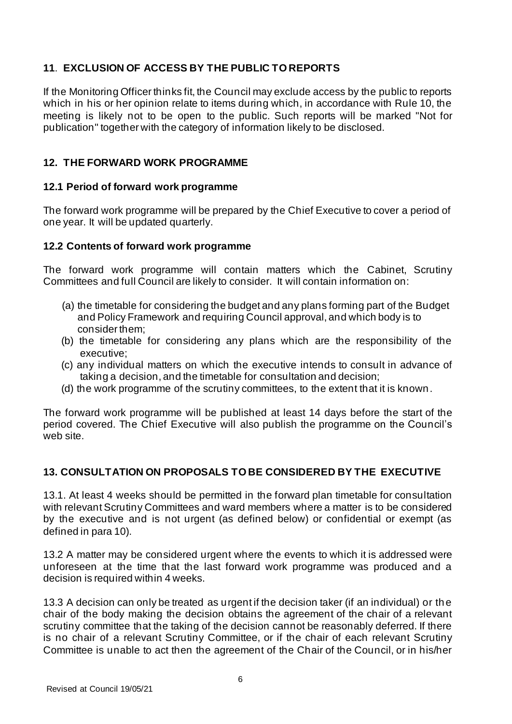# **11**. **EXCLUSION OF ACCESS BY THE PUBLIC TO REPORTS**

If the Monitoring Officer thinks fit, the Council may exclude access by the public to reports which in his or her opinion relate to items during which, in accordance with Rule 10, the meeting is likely not to be open to the public. Such reports will be marked "Not for publication" together with the category of information likely to be disclosed.

# **12. THE FORWARD WORK PROGRAMME**

# **12.1 Period of forward work programme**

The forward work programme will be prepared by the Chief Executive to cover a period of one year. It will be updated quarterly.

# **12.2 Contents of forward work programme**

The forward work programme will contain matters which the Cabinet, Scrutiny Committees and full Council are likely to consider. It will contain information on:

- (a) the timetable for considering the budget and any plans forming part of the Budget and Policy Framework and requiring Council approval, and which body is to consider them;
- (b) the timetable for considering any plans which are the responsibility of the executive;
- (c) any individual matters on which the executive intends to consult in advance of taking a decision, and the timetable for consultation and decision;
- (d) the work programme of the scrutiny committees, to the extent that it is known.

The forward work programme will be published at least 14 days before the start of the period covered. The Chief Executive will also publish the programme on the Council's web site.

# **13. CONSULTATION ON PROPOSALS TO BE CONSIDERED BY THE EXECUTIVE**

13.1. At least 4 weeks should be permitted in the forward plan timetable for consultation with relevant Scrutiny Committees and ward members where a matter is to be considered by the executive and is not urgent (as defined below) or confidential or exempt (as defined in para 10).

13.2 A matter may be considered urgent where the events to which it is addressed were unforeseen at the time that the last forward work programme was produced and a decision is required within 4 weeks.

13.3 A decision can only be treated as urgent if the decision taker (if an individual) or the chair of the body making the decision obtains the agreement of the chair of a relevant scrutiny committee that the taking of the decision cannot be reasonably deferred. If there is no chair of a relevant Scrutiny Committee, or if the chair of each relevant Scrutiny Committee is unable to act then the agreement of the Chair of the Council, or in his/her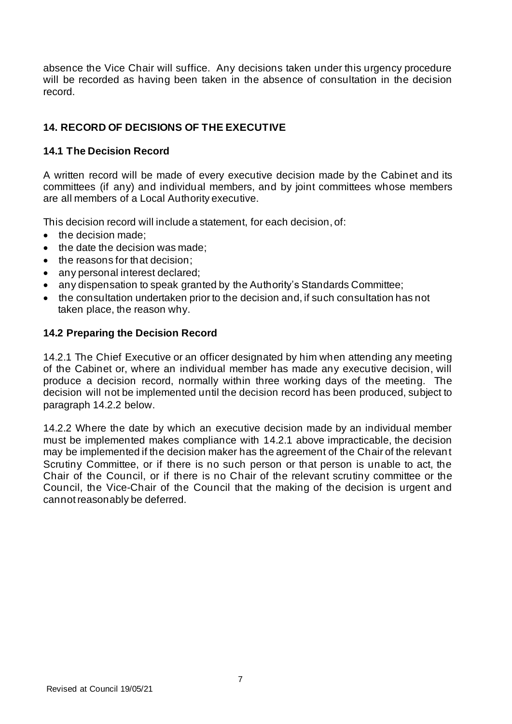absence the Vice Chair will suffice. Any decisions taken under this urgency procedure will be recorded as having been taken in the absence of consultation in the decision record.

# **14. RECORD OF DECISIONS OF THE EXECUTIVE**

# **14.1 The Decision Record**

A written record will be made of every executive decision made by the Cabinet and its committees (if any) and individual members, and by joint committees whose members are all members of a Local Authority executive.

This decision record will include a statement, for each decision, of:

- the decision made:
- the date the decision was made;
- the reasons for that decision:
- any personal interest declared;
- any dispensation to speak granted by the Authority's Standards Committee;
- the consultation undertaken prior to the decision and, if such consultation has not taken place, the reason why.

# **14.2 Preparing the Decision Record**

14.2.1 The Chief Executive or an officer designated by him when attending any meeting of the Cabinet or, where an individual member has made any executive decision, will produce a decision record, normally within three working days of the meeting. The decision will not be implemented until the decision record has been produced, subject to paragraph 14.2.2 below.

14.2.2 Where the date by which an executive decision made by an individual member must be implemented makes compliance with 14.2.1 above impracticable, the decision may be implemented if the decision maker has the agreement of the Chair of the relevant Scrutiny Committee, or if there is no such person or that person is unable to act, the Chair of the Council, or if there is no Chair of the relevant scrutiny committee or the Council, the Vice-Chair of the Council that the making of the decision is urgent and cannot reasonably be deferred.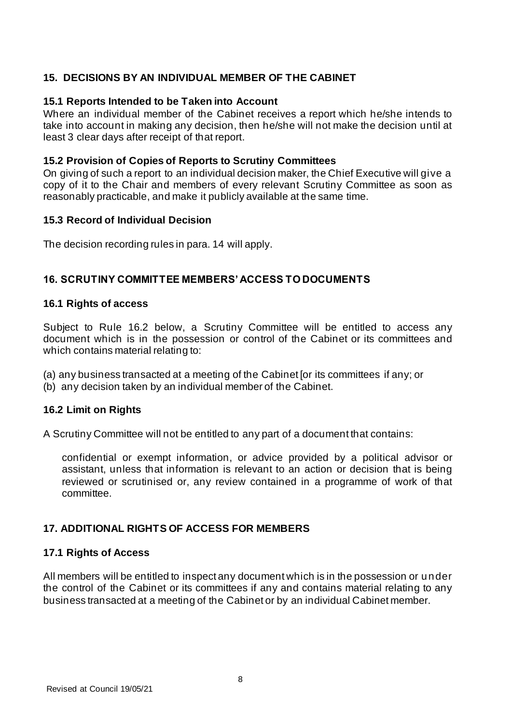# **15. DECISIONS BY AN INDIVIDUAL MEMBER OF THE CABINET**

### **15.1 Reports Intended to be Taken into Account**

Where an individual member of the Cabinet receives a report which he/she intends to take into account in making any decision, then he/she will not make the decision until at least 3 clear days after receipt of that report.

### **15.2 Provision of Copies of Reports to Scrutiny Committees**

On giving of such a report to an individual decision maker, the Chief Executive will give a copy of it to the Chair and members of every relevant Scrutiny Committee as soon as reasonably practicable, and make it publicly available at the same time.

#### **15.3 Record of Individual Decision**

The decision recording rules in para. 14 will apply.

### **16. SCRUTINY COMMITTEE MEMBERS' ACCESS TO DOCUMENTS**

#### **16.1 Rights of access**

Subject to Rule 16.2 below, a Scrutiny Committee will be entitled to access any document which is in the possession or control of the Cabinet or its committees and which contains material relating to:

- (a) any business transacted at a meeting of the Cabinet [or its committees if any; or
- (b) any decision taken by an individual member of the Cabinet.

### **16.2 Limit on Rights**

A Scrutiny Committee will not be entitled to any part of a document that contains:

confidential or exempt information, or advice provided by a political advisor or assistant, unless that information is relevant to an action or decision that is being reviewed or scrutinised or, any review contained in a programme of work of that committee.

### **17. ADDITIONAL RIGHTS OF ACCESS FOR MEMBERS**

### **17.1 Rights of Access**

All members will be entitled to inspect any document which is in the possession or under the control of the Cabinet or its committees if any and contains material relating to any business transacted at a meeting of the Cabinet or by an individual Cabinet member.